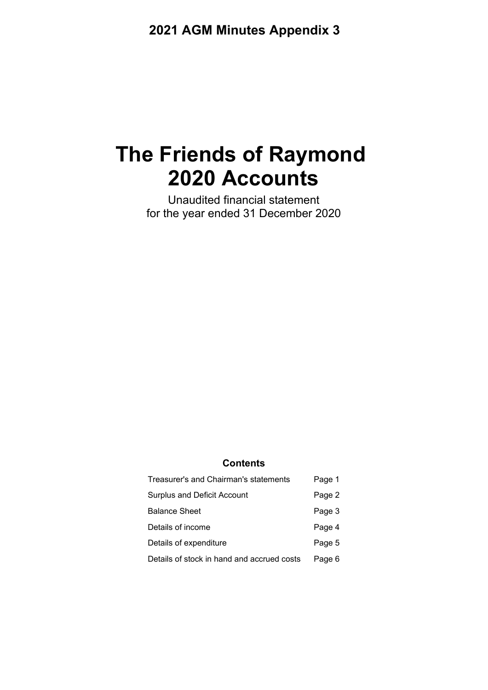# **The Friends of Raymond 2020 Accounts**

Unaudited financial statement for the year ended 31 December 2020

### **Contents**

| Treasurer's and Chairman's statements      | Page 1 |
|--------------------------------------------|--------|
| <b>Surplus and Deficit Account</b>         | Page 2 |
| <b>Balance Sheet</b>                       | Page 3 |
| Details of income                          | Page 4 |
| Details of expenditure                     | Page 5 |
| Details of stock in hand and accrued costs | Page 6 |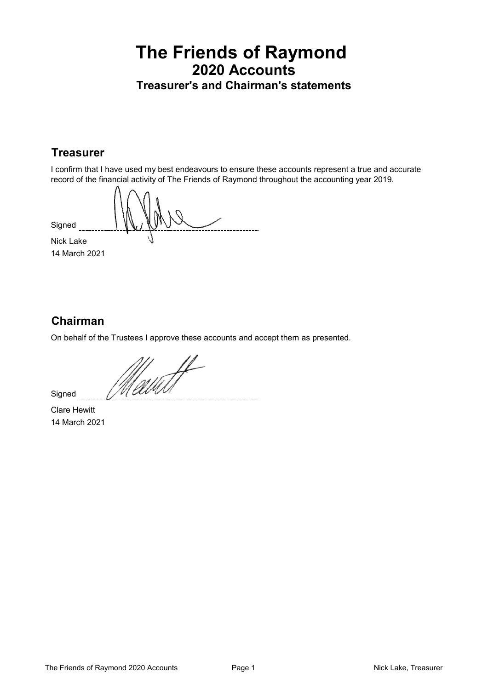### **The Friends of Raymond 2020 Accounts Treasurer's and Chairman's statements**

### **Treasurer**

I confirm that I have used my best endeavours to ensure these accounts represent a true and accurate record of the financial activity of The Friends of Raymond throughout the accounting year 2019.

**Signed** \_\_\_\_<del>\_\_\_\_</del> Nick Lake 14 March 2021

### **Chairman**

On behalf of the Trustees I approve these accounts and accept them as presented.

M<br>Valitsi

Clare Hewitt 14 March 2021

Signed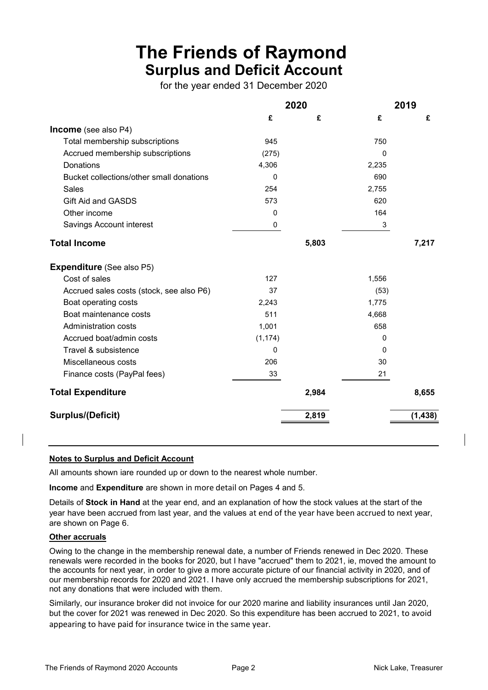## **The Friends of Raymond Surplus and Deficit Account**

for the year ended 31 December 2020

|                                          |              | 2020  |       | 2019     |
|------------------------------------------|--------------|-------|-------|----------|
|                                          | £            | £     | £     | £        |
| <b>Income</b> (see also P4)              |              |       |       |          |
| Total membership subscriptions           | 945          |       | 750   |          |
| Accrued membership subscriptions         | (275)        |       | 0     |          |
| Donations                                | 4,306        |       | 2,235 |          |
| Bucket collections/other small donations | $\mathbf{0}$ |       | 690   |          |
| Sales                                    | 254          |       | 2,755 |          |
| Gift Aid and GASDS                       | 573          |       | 620   |          |
| Other income                             | $\Omega$     |       | 164   |          |
| Savings Account interest                 | 0            |       | 3     |          |
| <b>Total Income</b>                      |              | 5,803 |       | 7,217    |
| <b>Expenditure</b> (See also P5)         |              |       |       |          |
| Cost of sales                            | 127          |       | 1,556 |          |
| Accrued sales costs (stock, see also P6) | 37           |       | (53)  |          |
| Boat operating costs                     | 2,243        |       | 1,775 |          |
| Boat maintenance costs                   | 511          |       | 4,668 |          |
| <b>Administration costs</b>              | 1,001        |       | 658   |          |
| Accrued boat/admin costs                 | (1, 174)     |       | 0     |          |
| Travel & subsistence                     | 0            |       | 0     |          |
| Miscellaneous costs                      | 206          |       | 30    |          |
| Finance costs (PayPal fees)              | 33           |       | 21    |          |
| <b>Total Expenditure</b>                 |              | 2,984 |       | 8,655    |
| <b>Surplus/(Deficit)</b>                 |              | 2,819 |       | (1, 438) |
|                                          |              |       |       |          |

#### **Notes to Surplus and Deficit Account**

All amounts shown iare rounded up or down to the nearest whole number.

**Income** and **Expenditure** are shown in more detail on Pages 4 and 5.

Details of **Stock in Hand** at the year end, and an explanation of how the stock values at the start of the year have been accrued from last year, and the values at end of the year have been accrued to next year, are shown on Page 6.

#### **Other accruals**

Owing to the change in the membership renewal date, a number of Friends renewed in Dec 2020. These renewals were recorded in the books for 2020, but I have "accrued" them to 2021, ie, moved the amount to the accounts for next year, in order to give a more accurate picture of our financial activity in 2020, and of our membership records for 2020 and 2021. I have only accrued the membership subscriptions for 2021, not any donations that were included with them.

Similarly, our insurance broker did not invoice for our 2020 marine and liability insurances until Jan 2020, but the cover for 2021 was renewed in Dec 2020. So this expenditure has been accrued to 2021, to avoid appearing to have paid for insurance twice in the same year.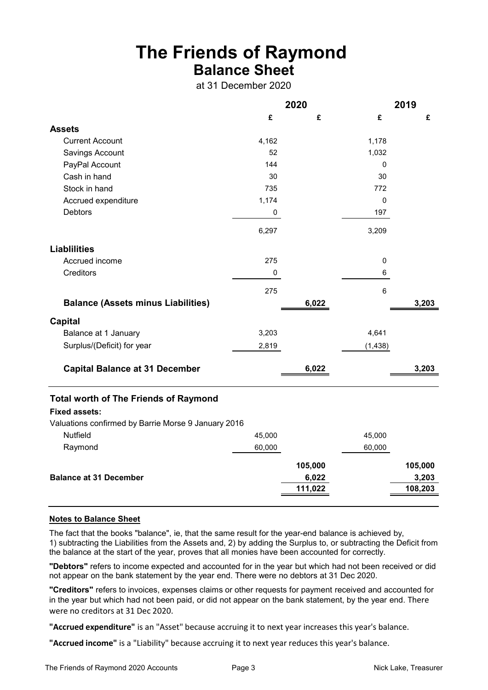### **The Friends of Raymond Balance Sheet**

at 31 December 2020

|                                                                      | 2020      |         |                | 2019    |  |
|----------------------------------------------------------------------|-----------|---------|----------------|---------|--|
|                                                                      | £         | £       | £              | £       |  |
| <b>Assets</b>                                                        |           |         |                |         |  |
| <b>Current Account</b>                                               | 4,162     |         | 1,178          |         |  |
| Savings Account                                                      | 52        |         | 1,032          |         |  |
| PayPal Account                                                       | 144       |         | 0              |         |  |
| Cash in hand                                                         | 30        |         | 30             |         |  |
| Stock in hand                                                        | 735       |         | 772            |         |  |
| Accrued expenditure                                                  | 1,174     |         | $\mathbf 0$    |         |  |
| <b>Debtors</b>                                                       | 0         |         | 197            |         |  |
|                                                                      | 6,297     |         | 3,209          |         |  |
| <b>Liablilities</b>                                                  |           |         |                |         |  |
| Accrued income                                                       | 275       |         | $\pmb{0}$      |         |  |
| Creditors                                                            | $\pmb{0}$ |         | 6              |         |  |
|                                                                      | 275       |         | $6\phantom{a}$ |         |  |
| <b>Balance (Assets minus Liabilities)</b>                            |           | 6,022   |                | 3,203   |  |
| <b>Capital</b>                                                       |           |         |                |         |  |
| Balance at 1 January                                                 | 3,203     |         | 4,641          |         |  |
| Surplus/(Deficit) for year                                           | 2,819     |         | (1, 438)       |         |  |
| <b>Capital Balance at 31 December</b>                                |           | 6,022   |                | 3,203   |  |
| <b>Total worth of The Friends of Raymond</b><br><b>Fixed assets:</b> |           |         |                |         |  |
| Valuations confirmed by Barrie Morse 9 January 2016                  |           |         |                |         |  |
| Nutfield                                                             | 45,000    |         | 45,000         |         |  |
| Raymond                                                              | 60,000    |         | 60,000         |         |  |
|                                                                      |           | 105,000 |                | 105,000 |  |
| <b>Balance at 31 December</b>                                        |           | 6,022   |                | 3,203   |  |
|                                                                      |           | 111,022 |                | 108,203 |  |
|                                                                      |           |         |                |         |  |

#### **Notes to Balance Sheet**

The fact that the books "balance", ie, that the same result for the year-end balance is achieved by, 1) subtracting the Liabilities from the Assets and, 2) by adding the Surplus to, or subtracting the Deficit from the balance at the start of the year, proves that all monies have been accounted for correctly.

**"Debtors"** refers to income expected and accounted for in the year but which had not been received or did not appear on the bank statement by the year end. There were no debtors at 31 Dec 2020.

**"Creditors"** refers to invoices, expenses claims or other requests for payment received and accounted for in the year but which had not been paid, or did not appear on the bank statement, by the year end. There were no creditors at 31 Dec 2020.

**"Accrued expenditure"** is an "Asset" because accruing it to next year increases this year's balance.

**"Accrued income"** is a "Liability" because accruing it to next year reduces this year's balance.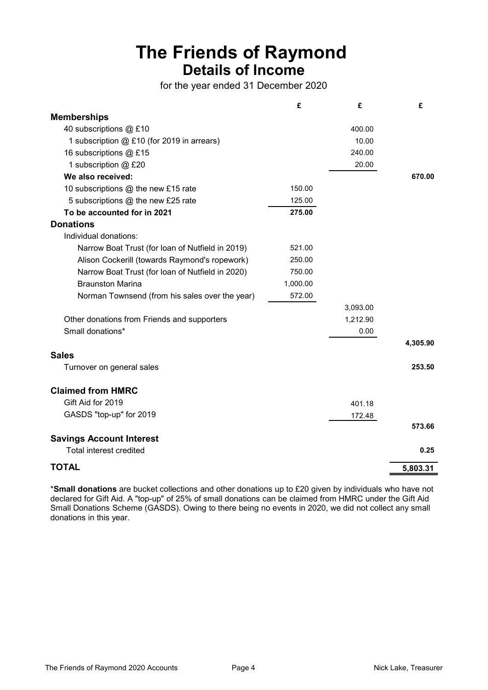## **The Friends of Raymond Details of Income**

for the year ended 31 December 2020

|                                                  | £        | £        | £        |
|--------------------------------------------------|----------|----------|----------|
| <b>Memberships</b>                               |          |          |          |
| 40 subscriptions @ £10                           |          | 400.00   |          |
| 1 subscription @ £10 (for 2019 in arrears)       |          | 10.00    |          |
| 16 subscriptions @ £15                           |          | 240.00   |          |
| 1 subscription @ £20                             |          | 20.00    |          |
| We also received:                                |          |          | 670.00   |
| 10 subscriptions @ the new £15 rate              | 150.00   |          |          |
| 5 subscriptions @ the new £25 rate               | 125.00   |          |          |
| To be accounted for in 2021                      | 275.00   |          |          |
| <b>Donations</b>                                 |          |          |          |
| Individual donations:                            |          |          |          |
| Narrow Boat Trust (for loan of Nutfield in 2019) | 521.00   |          |          |
| Alison Cockerill (towards Raymond's ropework)    | 250.00   |          |          |
| Narrow Boat Trust (for loan of Nutfield in 2020) | 750.00   |          |          |
| <b>Braunston Marina</b>                          | 1,000.00 |          |          |
| Norman Townsend (from his sales over the year)   | 572.00   |          |          |
|                                                  |          | 3,093.00 |          |
| Other donations from Friends and supporters      |          | 1,212.90 |          |
| Small donations*                                 |          | 0.00     |          |
|                                                  |          |          | 4,305.90 |
| <b>Sales</b>                                     |          |          |          |
| Turnover on general sales                        |          |          | 253.50   |
| <b>Claimed from HMRC</b>                         |          |          |          |
| Gift Aid for 2019                                |          | 401.18   |          |
| GASDS "top-up" for 2019                          |          | 172.48   |          |
|                                                  |          |          | 573.66   |
| <b>Savings Account Interest</b>                  |          |          |          |
| Total interest credited                          |          |          | 0.25     |
| <b>TOTAL</b>                                     |          |          | 5,803.31 |

\***Small donations** are bucket collections and other donations up to £20 given by individuals who have not declared for Gift Aid. A "top-up" of 25% of small donations can be claimed from HMRC under the Gift Aid Small Donations Scheme (GASDS). Owing to there being no events in 2020, we did not collect any small donations in this year.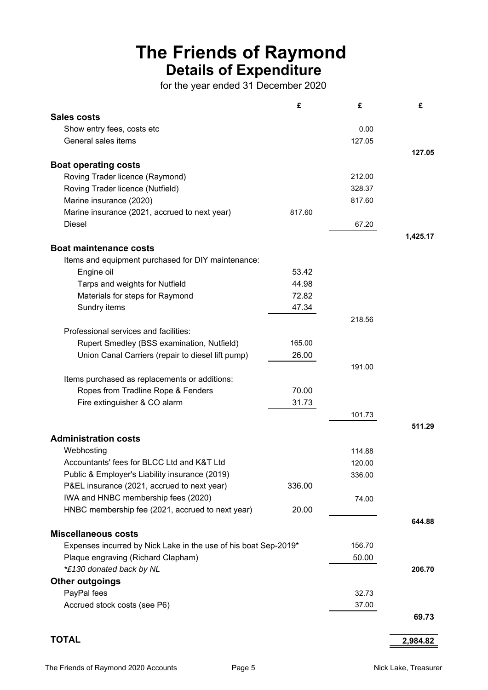## **The Friends of Raymond Details of Expenditure**

for the year ended 31 December 2020

|                                                                 | £      | £      | £        |
|-----------------------------------------------------------------|--------|--------|----------|
| <b>Sales costs</b>                                              |        |        |          |
| Show entry fees, costs etc                                      |        | 0.00   |          |
| General sales items                                             |        | 127.05 |          |
|                                                                 |        |        | 127.05   |
| <b>Boat operating costs</b>                                     |        |        |          |
| Roving Trader licence (Raymond)                                 |        | 212.00 |          |
| Roving Trader licence (Nutfield)                                |        | 328.37 |          |
| Marine insurance (2020)                                         |        | 817.60 |          |
| Marine insurance (2021, accrued to next year)                   | 817.60 |        |          |
| Diesel                                                          |        | 67.20  |          |
|                                                                 |        |        | 1,425.17 |
| <b>Boat maintenance costs</b>                                   |        |        |          |
|                                                                 |        |        |          |
| Items and equipment purchased for DIY maintenance:              |        |        |          |
| Engine oil                                                      | 53.42  |        |          |
| Tarps and weights for Nutfield                                  | 44.98  |        |          |
| Materials for steps for Raymond                                 | 72.82  |        |          |
| Sundry items                                                    | 47.34  |        |          |
|                                                                 |        | 218.56 |          |
| Professional services and facilities:                           |        |        |          |
| Rupert Smedley (BSS examination, Nutfield)                      | 165.00 |        |          |
| Union Canal Carriers (repair to diesel lift pump)               | 26.00  |        |          |
|                                                                 |        | 191.00 |          |
| Items purchased as replacements or additions:                   |        |        |          |
| Ropes from Tradline Rope & Fenders                              | 70.00  |        |          |
| Fire extinguisher & CO alarm                                    | 31.73  |        |          |
|                                                                 |        | 101.73 |          |
|                                                                 |        |        | 511.29   |
| <b>Administration costs</b>                                     |        |        |          |
| Webhosting                                                      |        | 114.88 |          |
| Accountants' fees for BLCC Ltd and K&T Ltd                      |        | 120.00 |          |
| Public & Employer's Liability insurance (2019)                  |        | 336.00 |          |
| P&EL insurance (2021, accrued to next year)                     | 336.00 |        |          |
| IWA and HNBC membership fees (2020)                             |        | 74.00  |          |
| HNBC membership fee (2021, accrued to next year)                | 20.00  |        |          |
|                                                                 |        |        | 644.88   |
|                                                                 |        |        |          |
| <b>Miscellaneous costs</b>                                      |        |        |          |
| Expenses incurred by Nick Lake in the use of his boat Sep-2019* |        | 156.70 |          |
| Plaque engraving (Richard Clapham)                              |        | 50.00  |          |
| *£130 donated back by NL                                        |        |        | 206.70   |
| <b>Other outgoings</b>                                          |        |        |          |
| PayPal fees                                                     |        | 32.73  |          |
| Accrued stock costs (see P6)                                    |        | 37.00  |          |
|                                                                 |        |        | 69.73    |
|                                                                 |        |        |          |
| <b>TOTAL</b>                                                    |        |        | 2,984.82 |